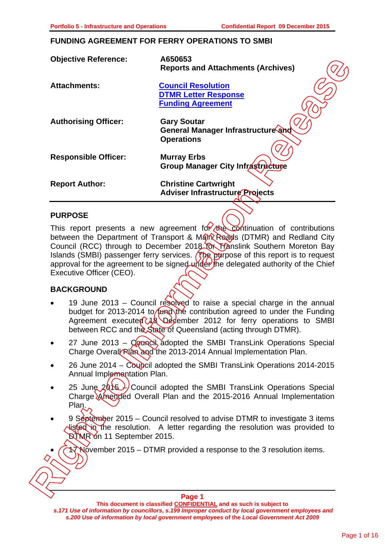#### **FUNDING AGREEMENT FOR FERRY OPERATIONS TO SMBI**

| <b>Council Resolution</b><br><b>Attachments:</b><br><b>DTMR Letter Response</b><br><b>Funding Agreement</b><br><b>Gary Soutar</b><br><b>Authorising Officer:</b><br>General Manager Infrastructure and<br><b>Operations</b><br><b>Responsible Officer:</b><br><b>Murray Erbs</b><br>Group Manager City Infrastructure<br><b>Christine Cartwright</b><br><b>Report Author:</b><br><b>Adviser Infrastructure Projects</b><br><b>PURPOSE</b><br>This report presents a new agreement for the contrinuation of contributions<br>between the Department of Transport & Marm Reads (DTMR) and Redland City<br>Council (RCC) through to December 2018 for Franslink Southern Moreton Bay<br>Islands (SMBI) passenger ferry services. ( $\sqrt{R}$ ) purpose of this report is to request<br>approval for the agreement to be signed under the delegated authority of the Chief<br>Executive Officer (CEO).<br><b>BACKGROUND</b><br>19 June 2013 – Council resolved to raise a special charge in the annual<br>budget for 2013-2014 to fund the contribution agreed to under the Funding<br>Agreement executed 18 December 2012 for ferry operations to SMBI<br>between RCC and the State of Queensland (acting through DTMR).<br>27 June 2013 - Council adopted the SMBI TransLink Operations Special<br>Charge Overal Ran and the 2013-2014 Annual Implementation Plan.<br>26 June 2014 - Coupcil adopted the SMBI TransLink Operations 2014-2015<br>Annual Implementation Plan.<br>25 June 2015 / Council adopted the SMBI TransLink Operations Special<br>Charge Amended Overall Plan and the 2015-2016 Annual Implementation<br>Plan.<br>9 September 2015 – Council resolved to advise DTMR to investigate 3 items<br>listed in the resolution. A letter regarding the resolution was provided to<br>DTMR on 11 September 2015.<br>November 2015 – DTMR provided a response to the 3 resolution items.<br>Pane 1 | <b>Objective Reference:</b> | A650653<br><b>Reports and Attachments (Archives)</b> |
|---------------------------------------------------------------------------------------------------------------------------------------------------------------------------------------------------------------------------------------------------------------------------------------------------------------------------------------------------------------------------------------------------------------------------------------------------------------------------------------------------------------------------------------------------------------------------------------------------------------------------------------------------------------------------------------------------------------------------------------------------------------------------------------------------------------------------------------------------------------------------------------------------------------------------------------------------------------------------------------------------------------------------------------------------------------------------------------------------------------------------------------------------------------------------------------------------------------------------------------------------------------------------------------------------------------------------------------------------------------------------------------------------------------------------------------------------------------------------------------------------------------------------------------------------------------------------------------------------------------------------------------------------------------------------------------------------------------------------------------------------------------------------------------------------------------------------------------------------------------------------------------------------------------|-----------------------------|------------------------------------------------------|
|                                                                                                                                                                                                                                                                                                                                                                                                                                                                                                                                                                                                                                                                                                                                                                                                                                                                                                                                                                                                                                                                                                                                                                                                                                                                                                                                                                                                                                                                                                                                                                                                                                                                                                                                                                                                                                                                                                               |                             |                                                      |
|                                                                                                                                                                                                                                                                                                                                                                                                                                                                                                                                                                                                                                                                                                                                                                                                                                                                                                                                                                                                                                                                                                                                                                                                                                                                                                                                                                                                                                                                                                                                                                                                                                                                                                                                                                                                                                                                                                               |                             |                                                      |
|                                                                                                                                                                                                                                                                                                                                                                                                                                                                                                                                                                                                                                                                                                                                                                                                                                                                                                                                                                                                                                                                                                                                                                                                                                                                                                                                                                                                                                                                                                                                                                                                                                                                                                                                                                                                                                                                                                               |                             |                                                      |
|                                                                                                                                                                                                                                                                                                                                                                                                                                                                                                                                                                                                                                                                                                                                                                                                                                                                                                                                                                                                                                                                                                                                                                                                                                                                                                                                                                                                                                                                                                                                                                                                                                                                                                                                                                                                                                                                                                               |                             |                                                      |
|                                                                                                                                                                                                                                                                                                                                                                                                                                                                                                                                                                                                                                                                                                                                                                                                                                                                                                                                                                                                                                                                                                                                                                                                                                                                                                                                                                                                                                                                                                                                                                                                                                                                                                                                                                                                                                                                                                               |                             |                                                      |
|                                                                                                                                                                                                                                                                                                                                                                                                                                                                                                                                                                                                                                                                                                                                                                                                                                                                                                                                                                                                                                                                                                                                                                                                                                                                                                                                                                                                                                                                                                                                                                                                                                                                                                                                                                                                                                                                                                               |                             |                                                      |
|                                                                                                                                                                                                                                                                                                                                                                                                                                                                                                                                                                                                                                                                                                                                                                                                                                                                                                                                                                                                                                                                                                                                                                                                                                                                                                                                                                                                                                                                                                                                                                                                                                                                                                                                                                                                                                                                                                               |                             |                                                      |
|                                                                                                                                                                                                                                                                                                                                                                                                                                                                                                                                                                                                                                                                                                                                                                                                                                                                                                                                                                                                                                                                                                                                                                                                                                                                                                                                                                                                                                                                                                                                                                                                                                                                                                                                                                                                                                                                                                               |                             |                                                      |
|                                                                                                                                                                                                                                                                                                                                                                                                                                                                                                                                                                                                                                                                                                                                                                                                                                                                                                                                                                                                                                                                                                                                                                                                                                                                                                                                                                                                                                                                                                                                                                                                                                                                                                                                                                                                                                                                                                               |                             |                                                      |
|                                                                                                                                                                                                                                                                                                                                                                                                                                                                                                                                                                                                                                                                                                                                                                                                                                                                                                                                                                                                                                                                                                                                                                                                                                                                                                                                                                                                                                                                                                                                                                                                                                                                                                                                                                                                                                                                                                               |                             |                                                      |
|                                                                                                                                                                                                                                                                                                                                                                                                                                                                                                                                                                                                                                                                                                                                                                                                                                                                                                                                                                                                                                                                                                                                                                                                                                                                                                                                                                                                                                                                                                                                                                                                                                                                                                                                                                                                                                                                                                               |                             |                                                      |
|                                                                                                                                                                                                                                                                                                                                                                                                                                                                                                                                                                                                                                                                                                                                                                                                                                                                                                                                                                                                                                                                                                                                                                                                                                                                                                                                                                                                                                                                                                                                                                                                                                                                                                                                                                                                                                                                                                               |                             |                                                      |

# **PURPOSE**

# **BACKGROUND**

- 19 June 2013 Council resolved to raise a special charge in the annual budget for 2013-2014 to fund the contribution agreed to under the Funding Agreement executed 18 December 2012 for ferry operations to SMBI between RCC and the State of Queensland (acting through DTMR).
- 27 June 2013 Council adopted the SMBI TransLink Operations Special Charge Overal Plan and the 2013-2014 Annual Implementation Plan.
- 26 June 2014 Council adopted the SMBI TransLink Operations 2014-2015 Annual Implementation Plan.
- 25 June  $2015$  Council adopted the SMBI TransLink Operations Special Charge Amended Overall Plan and the 2015-2016 Annual Implementation Plan.
- 9 September 2015 Council resolved to advise DTMR to investigate 3 items  $\Delta$ listed in the resolution. A letter regarding the resolution was provided to **DTMR on 11 September 2015.**
- $\sqrt{N}$  November 2015 DTMR provided a response to the 3 resolution items.

**Page 1**

**This document is classified CONFIDENTIAL and as such is subject to**  *s.171 Use of information by councillors***,** *s.199 Improper conduct by local government employees and s.200 Use of information by local government employees* **of the** *Local Government Act 2009*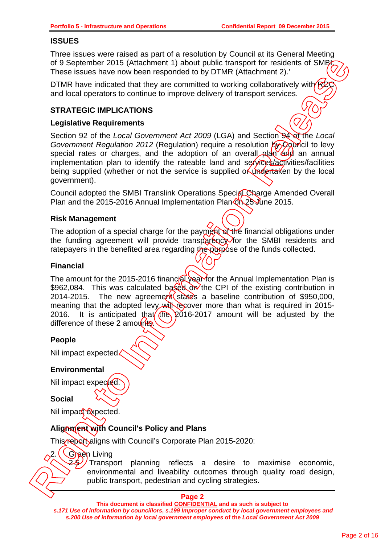# **ISSUES**

Three issues were raised as part of a resolution by Council at its General Meeting of 9 September 2015 (Attachment 1) about public transport for residents of SMB These issues have now been responded to by DTMR (Attachment 2).'

DTMR have indicated that they are committed to working collaboratively with  $R<sup>2</sup>$ and local operators to continue to improve delivery of transport services.

# **STRATEGIC IMPLICATIONS**

# **Legislative Requirements**

Section 92 of the *Local Government Act 2009* (LGA) and Section 94 of the *Local Government Regulation 2012* (Regulation) require a resolution by Council to levy special rates or charges, and the adoption of an overall plan  $\overline{ab}$  an annual implementation plan to identify the rateable land and services/activities/facilities being supplied (whether or not the service is supplied of undertaken by the local government).

Council adopted the SMBI Translink Operations Special Charge Amended Overall Plan and the 2015-2016 Annual Implementation Plan  $\partial h$  25 June 2015.

# **Risk Management**

The adoption of a special charge for the payment of the financial obligations under the funding agreement will provide transparency for the SMBI residents and ratepayers in the benefited area regarding the purpose of the funds collected.

# **Financial**

The amount for the 2015-2016 financial year for the Annual Implementation Plan is \$962,084. This was calculated based on the CPI of the existing contribution in 2014-2015. The new agreement states a baseline contribution of \$950,000, meaning that the adopted levy will recover more than what is required in 2015-2016. It is anticipated that  $\left(\frac{\pi}{6}\right)$  2016-2017 amount will be adjusted by the difference of these 2 amounts. of 9 September 2015 (Matematic 1) about public transport for residents of SMB<sub>1</sub><br>
These issues have now been responded to by DTMR (Attachment 2).<br>
DTMR have indicated translute to transport derivers of transport services.<br>

# **People**

Nil impact expected.

# **Environmental**

Nil impact expected.

# **Social**

Nil impact expected.

# **Alignment with Council's Policy and Plans**

This report aligns with Council's Corporate Plan 2015-2020:

**Green** Living

Transport planning reflects a desire to maximise economic, environmental and liveability outcomes through quality road design,

#### **Page 2**

**This document is classified CONFIDENTIAL and as such is subject to** 

*s.171 Use of information by councillors***,** *s.199 Improper conduct by local government employees and s.200 Use of information by local government employees* **of the** *Local Government Act 2009*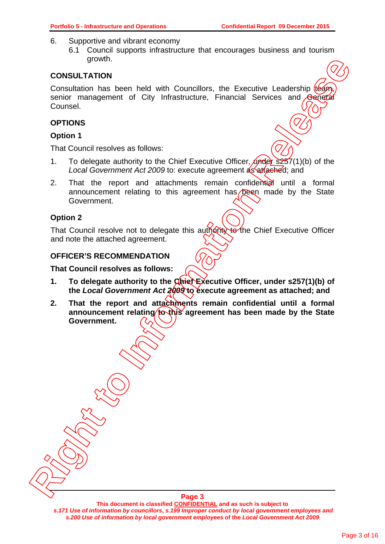- 6. Supportive and vibrant economy
	- 6.1 Council supports infrastructure that encourages business and tourism growth.

# **CONSULTATION**

Consultation has been held with Councillors, the Executive Leadership (team, senior management of City Infrastructure. Financial Services and General Counsel.

# **OPTIONS**

# **Option 1**

That Council resolves as follows:

- 1. To delegate authority to the Chief Executive Officer,  $\sqrt{y}$   $\frac{1}{257}(1)$  (b) of the Local Government Act 2009 to: execute agreement as attached; and
- 2. That the report and attachments remain confidential until a formal announcement relating to this agreement has  $\sqrt{p}$  eqn made by the State Government.

# **Option 2**

That Council resolve not to delegate this authority to the Chief Executive Officer and note the attached agreement.

# **OFFICER'S RECOMMENDATION**

#### **That Council resolves as follows:**

- **1.** To delegate authority to the Chief Executive Officer, under s257(1)(b) of **the** *Local Government Act 2009* **to execute agreement as attached; and**
- **2. That the report and attachments remain confidential until a formal**  announcement relating to this agreement has been made by the State **Government. Right The Council of the Controller Controller Controller Controller Controller Controller Controller Controller Controller Controller Control (Controller Control (Control Control of Control of Control of Control of Contr**

**This document is classified CONFIDENTIAL and as such is subject to**  *s.171 Use of information by councillors***,** *s.199 Improper conduct by local government employees and s.200 Use of information by local government employees* **of the** *Local Government Act 2009*

**Page 3**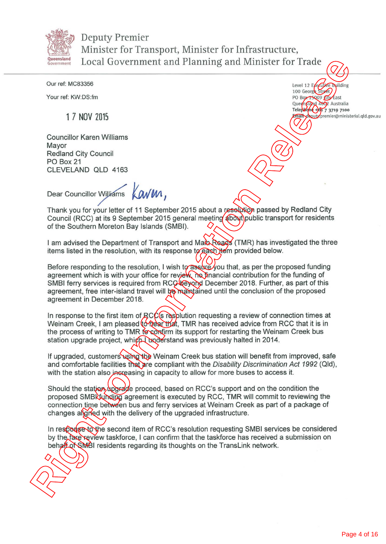

Deputy Premier Minister for Transport, Minister for Infrastructure, Queensland Local Government and Planning and Minister for Trade

> Level 12 Executive Building 100 George Street PO Box 15009 Lity East Queensland 4002 Australia Telephone +61 *7* 3719 7100

Email deputy.premier@ministerial.qld.gov.au

Our ref: MC83356

Your ref: KW:DS:fm

1 7 NOV 2015

Councillor Karen Williams Mayor Redland City Council PO Box 21 CLEVELAND OLD 4163

Dear Councillor Williams Kav W1,

Thank you for your letter of 11 September 2015 about a resolution passed by Redland City Council (RCC) at its 9 September 2015 general meeting about public transport for residents of the Southern Moreton Bay Islands (SMBI).

I am advised the Department of Transport and Man Roads (TMR) has investigated the three items listed in the resolution, with its response to each item provided below.

Before responding to the resolution, I wish to assure you that, as per the proposed funding agreement which is with your office for review, no financial contribution for the funding of SMBI ferry services is required from RCC beyond December 2018. Further, as part of this agreement, free inter-island travel will be maintained until the conclusion of the proposed agreement in December 2018. **Examine The Cock of Constrainers** and Minister for Trade *Come is the Cock of the Cock of the Cock of the Cock of the Cock of the Cock of the Cock of the Cock of the Cock of the Cock of the Cock of the Cock of the Cock o* 

In response to the first item of RCC's resplution requesting a review of connection times at Weinam Creek, I am pleased to hear that, TMR has received advice from RCC that it is in the process of writing to TMR to confirm its support for restarting the Weinam Creek bus station upgrade project, which I widerstand was previously halted in 2014.

If upgraded, customers using the Weinam Creek bus station will benefit from improved, safe and comfortable facilities that are compliant with the *Disability Discrimination Act 1992* (Qld), with the station also increasing in capacity to allow for more buses to access it.

Should the station upgrade proceed, based on RCC's support and on the condition the proposed SMBI funding agreement is executed by RCC, TMR will commit to reviewing the connection time between bus and ferry services at Weinam Creek as part of a package of changes alighed with the delivery of the upgraded infrastructure.

In response to the second item of RCC's resolution requesting SMBI services be considered by the fare review taskforce, I can confirm that the taskforce has received a submission on behalf of SMBI residents regarding its thoughts on the TransLink network.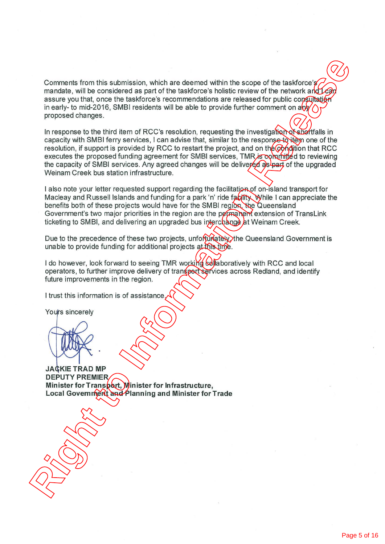Comments from this submission, which are deemed within the scope of the taskforce's mandate, will be considered as part of the taskforce's holistic review of the network and  $L$ can assure you that, once the taskforce's recommendations are released for public consultation in early- to mid-2016, SMBI residents will be able to provide further comment on  $a\bar{b}$ proposed changes.

In response to the third item of RCC's resolution, requesting the investigation of shortfalls in capacity with SMBI ferry services, I can advise that, similar to the response to item one of the resolution, if support is provided by RCC to restart the project, and on the condition that RCC executes the proposed funding agreement for SMBI services, TMR is committed to reviewing the capacity of SMBI services. Any agreed changes will be delivered as part of the upgraded Weinam Creek bus station infrastructure. Comments from this submission, which are deemed within the scope of the taskforce  $\frac{1}{2}$ <br>mandate, will be considered as part of the taskforce's helistic review of the network and the answer point the considered as part

I also note your letter requested support regarding the facilitation of on-island transport for Macleay and Russell Islands and funding for a park 'n' ride facility. While I can appreciate the benefits both of these projects would have for the SMBI region, the Queensland Government's two major priorities in the region are the permanent extension of TransLink ticketing to SMBI, and delivering an upgraded bus interchange at Weinam Creek.

Due to the precedence of these two projects, unfortunately, the Queensland Government is unable to provide funding for additional projects at this time.

I do however, look forward to seeing TMR working collaboratively with RCC and local operators, to further improve delivery of transport services across Redland, and identify future improvements in the region.

I trust this information is of assistance.

**JA KIE TRAD MP DEPUTY PREMIER Minister for Transport, Minister for Infrastructure, Local Government and Planning and Minister for Trade**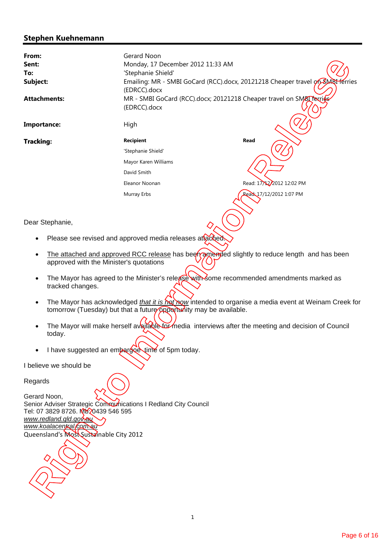# **Stephen Kuehnemann**

| From:<br>Sent:<br>To:<br>Subject:<br><b>Attachments:</b>                                                                                                                                                                         | Gerard Noon<br>Monday, 17 December 2012 11:33 AM<br>'Stephanie Shield'<br>(EDRCC).docx<br>MR - SMBI GoCard (RCC).docx; 20121218 Cheaper travel on SMBI Texties<br>(EDRCC).docx                                                                                                                                                                                                                                                  | Emailing: MR - SMBI GoCard (RCC).docx, 20121218 Cheaper travel on SMBI ferries                              |
|----------------------------------------------------------------------------------------------------------------------------------------------------------------------------------------------------------------------------------|---------------------------------------------------------------------------------------------------------------------------------------------------------------------------------------------------------------------------------------------------------------------------------------------------------------------------------------------------------------------------------------------------------------------------------|-------------------------------------------------------------------------------------------------------------|
| Importance:                                                                                                                                                                                                                      | High                                                                                                                                                                                                                                                                                                                                                                                                                            |                                                                                                             |
| <b>Tracking:</b>                                                                                                                                                                                                                 | <b>Recipient</b>                                                                                                                                                                                                                                                                                                                                                                                                                | Read                                                                                                        |
|                                                                                                                                                                                                                                  | 'Stephanie Shield'                                                                                                                                                                                                                                                                                                                                                                                                              |                                                                                                             |
|                                                                                                                                                                                                                                  | Mayor Karen Williams                                                                                                                                                                                                                                                                                                                                                                                                            |                                                                                                             |
|                                                                                                                                                                                                                                  | David Smith                                                                                                                                                                                                                                                                                                                                                                                                                     |                                                                                                             |
|                                                                                                                                                                                                                                  | Eleanor Noonan                                                                                                                                                                                                                                                                                                                                                                                                                  | Read: 17/12/2012 12:02 PM                                                                                   |
|                                                                                                                                                                                                                                  | Murray Erbs                                                                                                                                                                                                                                                                                                                                                                                                                     | Read: 17/12/2012 1:07 PM                                                                                    |
|                                                                                                                                                                                                                                  |                                                                                                                                                                                                                                                                                                                                                                                                                                 |                                                                                                             |
| Dear Stephanie,                                                                                                                                                                                                                  |                                                                                                                                                                                                                                                                                                                                                                                                                                 |                                                                                                             |
|                                                                                                                                                                                                                                  | Please see revised and approved media releases attached.                                                                                                                                                                                                                                                                                                                                                                        |                                                                                                             |
| approved with the Minister's quotations<br>tracked changes.<br>$\bullet$<br>today.                                                                                                                                               | The attached and approved RCC release has been ane algebra slightly to reduce length and has been<br>The Mayor has agreed to the Minister's release with some recommended amendments marked as<br>tomorrow (Tuesday) but that a future opportunity may be available.<br>The Mayor will make herself available for media interviews after the meeting and decision of Council<br>I have suggested an embargoe time of 5pm today. | The Mayor has acknowledged <i>that it is hot now</i> intended to organise a media event at Weinam Creek for |
| I believe we should be                                                                                                                                                                                                           |                                                                                                                                                                                                                                                                                                                                                                                                                                 |                                                                                                             |
| Regards<br>Gerard Noon,<br>Senior Adviser Strategic Communications I Redland City Council<br>Tel: 07 3829 8726. Mb: 0439 546 595<br>www.redland.gld.gov.au<br>www.koalacentral/com.au<br>Queensland's Most Sustainable City 2012 |                                                                                                                                                                                                                                                                                                                                                                                                                                 |                                                                                                             |

- Please see revised and approved media releases attached.
- The attached and approved RCC release has been amended slightly to reduce length and has been approved with the Minister's quotations
- The Mayor has agreed to the Minister's release with some recommended amendments marked as tracked changes.
- The Mayor has acknowledged *that it is not now* intended to organise a media event at Weinam Creek for tomorrow (Tuesday) but that a future opportunity may be available.
- The Mayor will make herself available for media interviews after the meeting and decision of Council today.
- I have suggested an embargoe time of 5pm today.

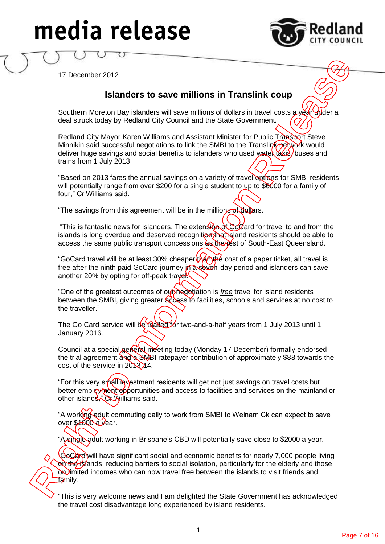# **media release**



17 December 2012

# **Islanders to save millions in Translink coup**

Southern Moreton Bay islanders will save millions of dollars in travel costs a year whoer a deal struck today by Redland City Council and the State Government.

Redland City Mayor Karen Williams and Assistant Minister for Public Transport Steve Minnikin said successful negotiations to link the SMBI to the Translink network would deliver huge savings and social benefits to islanders who used water taxis, buses and trains from 1 July 2013.

"Based on 2013 fares the annual savings on a variety of travel options for SMBI residents will potentially range from over \$200 for a single student to up to \$6000 for a family of four," Cr Williams said.

"The savings from this agreement will be in the millions of dollars.

"This is fantastic news for islanders. The extension of GoCard for travel to and from the islands is long overdue and deserved recognition that island residents should be able to access the same public transport concessions as the rest of South-East Queensland.

"GoCard travel will be at least 30% cheaper than the cost of a paper ticket, all travel is free after the ninth paid GoCard journey in a seven-day period and islanders can save another 20% by opting for off-peak travel.

"One of the greatest outcomes of out negotiation is *free* travel for island residents between the SMBI, giving greater access to facilities, schools and services at no cost to the traveller."

The Go Card service will be trialled for two-and-a-half years from 1 July 2013 until 1 January 2016.

Council at a special general meeting today (Monday 17 December) formally endorsed the trial agreement and a SMBI ratepayer contribution of approximately \$88 towards the cost of the service in 2013-14.

"For this very small investment residents will get not just savings on travel costs but better employment opportunities and access to facilities and services on the mainland or other islands," Cr Williams said.

"A working adult commuting daily to work from SMBI to Weinam Ck can expect to save over \$1000 a year.

"A single adult working in Brisbane's CBD will potentially save close to \$2000 a year.

**GoCard will have significant social and economic benefits for nearly 7,000 people living** on the islands, reducing barriers to social isolation, particularly for the elderly and those on limited incomes who can now travel free between the islands to visit friends and family. The starting to the greated to the starting in Translink Coup<br>
Southern Morolon Bay islanders will save millions in Translink Coup<br>
Southern Morolon Bay islanders will save millions of dollars in travel costs purchase<br>
det

"This is very welcome news and I am delighted the State Government has acknowledged the travel cost disadvantage long experienced by island residents.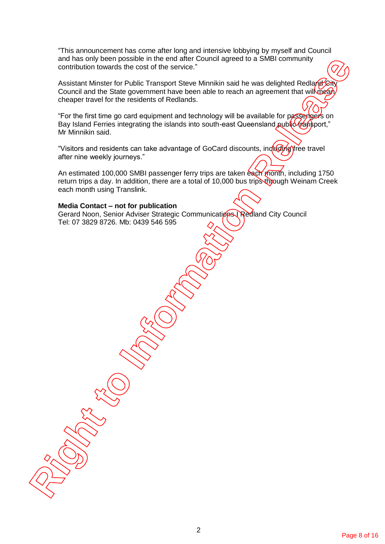"This announcement has come after long and intensive lobbying by myself and Council and has only been possible in the end after Council agreed to a SMBI community contribution towards the cost of the service."

Assistant Minster for Public Transport Steve Minnikin said he was delighted Redland Cit Council and the State government have been able to reach an agreement that will mean cheaper travel for the residents of Redlands. and has only been possible in the end after Council agrees to a SMBI community<br>contribution towards the ocat of the service.<br>Assistant Mileston For United Transport Slove Minnishs and the was designed Reclamed Release of<br>C

"For the first time go card equipment and technology will be available for passengers on Bay Island Ferries integrating the islands into south-east Queensland public transport," Mr Minnikin said.

"Visitors and residents can take advantage of GoCard discounts, including free travel after nine weekly journeys."

An estimated 100,000 SMBI passenger ferry trips are taken each month, including 1750 return trips a day. In addition, there are a total of 10,000 bus trips through Weinam Creek each month using Translink.

#### **Media Contact – not for publication**

Gerard Noon, Senior Adviser Strategic Communications Redland City Council Tel: 07 3829 8726. Mb: 0439 546 595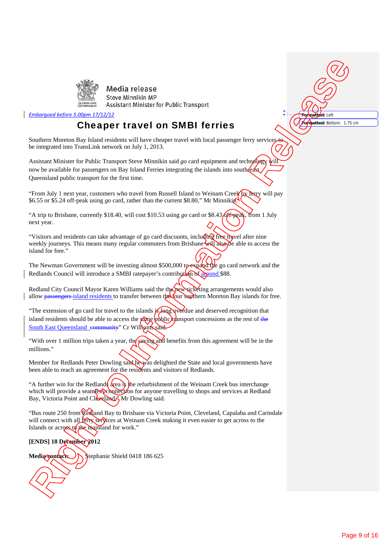

#### *Embargoed before 5.00pm 17/12/12*

# Cheaper travel on SMBI ferries

Southern Moreton Bay Island residents will have cheaper travel with local passenger ferry services be integrated into TransLink network on July 1, 2013.

Assistant Minister for Public Transport Steve Minnikin said *go* card equipment and technology now be available for passengers on Bay Island Ferries integrating the islands into south-Queensland public transport for the first time. **Right Media release**<br> **Removed a state in the media relation of the Internal Particular Controller Controller Controller Controller Controller Controller Controller Controller Controller Controller Controller Controller** 

"From July 1 next year, customers who travel from Russell Island to Weinam Creek by ferry will pay \$6.55 or \$5.24 off-peak using *go* card, rather than the current \$8.80," Mr Minnikin.

"A trip to Brisbane, currently \$18.40, will cost \$10.53 using *go* card or \$8.43  $\cancel{\theta}$   $\cancel{\theta}$  from 1 July next year.

"Visitors and residents can take advantage of go card discounts, including free travel after nine weekly journeys. This means many regular commuters from Brisbane  $\ddot{\text{with}}$  also, be able to access the island for free."

The Newman Government will be investing almost \$500,000 to expand the go card network and the Redlands Council will introduce a SMBI ratepayer's contribution of around \$88.

Redland City Council Mayor Karen Williams said the the new ticketing arrangements would also allow passengers island residents to transfer between the four southern Moreton Bay islands for free.

"The extension of go card for travel to the islands  $\frac{1}{2}$  long werdue and deserved recognition that island residents should be able to access the **game** public transport concessions as the rest of the South East Queensland community" Cr Williams said.

With over 1 million trips taken a year, the saving and benefits from this agreement will be in the millions."

Member for Redlands Peter Dowling said he was delighted the State and local governments have been able to reach an agreement for the residents and visitors of Redlands.

"A further win for the Redlands area is the refurbishment of the Weinam Creek bus interchange which will provide a seamless connection for anyone travelling to shops and services at Redland Bay, Victoria Point and Cleveland," Mr Dowling said.

"Bus route 250 from Redland Bay to Brisbane via Victoria Point, Cleveland, Capalaba and Carindale will connect with all **ferry services** at Weinam Creek making it even easier to get across to the Islands or across to the mainland for work."

# **[ENDS] 18 December 2012**

Media contact: \ \ \ \ \ \ \ \ tephanie Shield 0418 186 625

**Formatted:** Left

**Formatted:** Bottom: 1.75 cm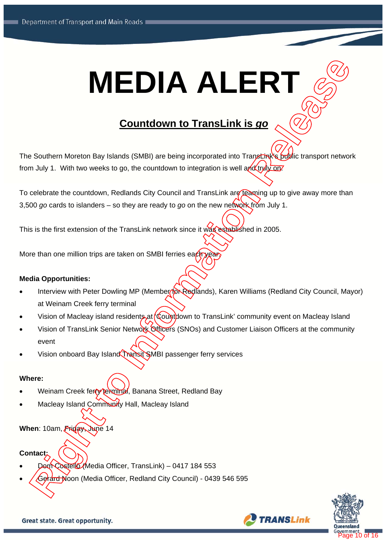# **MEDIA ALERT** The Southern Moreton Bay Islands (SMB) are being incorporated into Transporter Southern Moreton Bay Islands (SMB) are being incorporated into Transporter Southern more work<br>from July 1. With two weeks to ga, the councilism

# **Countdown to TransLink is** *go*

The Southern Moreton Bay Islands (SMBI) are being incorporated into Transbink's public transport network from July 1. With two weeks to go, the countdown to integration is well and truly on.

To celebrate the countdown, Redlands City Council and TransLink are teaming up to give away more than 3,500 *go* cards to islanders – so they are ready to *go* on the new network from July 1.

This is the first extension of the TransLink network since it was established in 2005.

More than one million trips are taken on SMBI ferries ea $\ell$ 

# **Media Opportunities:**

- Interview with Peter Dowling MP (Member for Redlands), Karen Williams (Redland City Council, Mayor) at Weinam Creek ferry terminal
- Vision of Macleay island residents at Countdown to TransLink' community event on Macleay Island
- Vision of TransLink Senior Network Officers (SNOs) and Customer Liaison Officers at the community event
- Vision onboard Bay Island Transit SMBI passenger ferry services

# **Where:**

- Weinam Creek ferry terminal, Banana Street, Redland Bay
- Macleay Island Community Hall, Macleay Island

# **When**: 10am, Friday, June 14

# **Contact:**

- Dom Costello (Media Officer, TransLink) 0417 184 553
- 



**TRANSLink**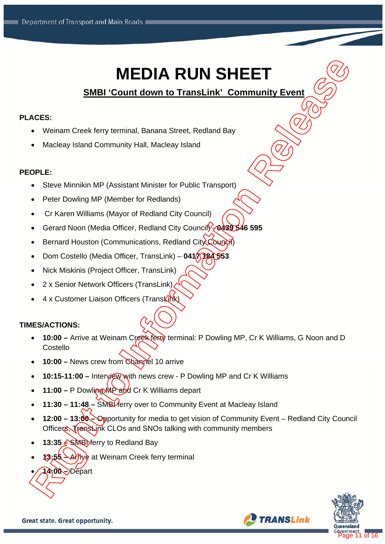# **MEDIA RUN SHEET**

# **SMBI 'Count down to TransLink' Community Event**

# **PLACES:**

- Weinam Creek ferry terminal, Banana Street, Redland Bay
- Macleay Island Community Hall, Macleay Island

# **PEOPLE:**

- Steve Minnikin MP (Assistant Minister for Public Transport)
- Peter Dowling MP (Member for Redlands)
- Cr Karen Williams (Mayor of Redland City Council)
- Gerard Noon (Media Officer, Redland City Council<sup>2</sup>/0439 546 595
- Bernard Houston (Communications, Redland City Council)
- Dom Costello (Media Officer, TransLink) **0417 184 553**
- Nick Miskinis (Project Officer, TransLink)
- 2 x Senior Network Officers (TransLink)
- 4 x Customer Liaison Officers (TransLink)

# **TIMES/ACTIONS:**

- **10:00 –** Arrive at Weinam Creek ferry terminal: P Dowling MP, Cr K Williams, G Noon and D Costello
- **10:00** News crew from Channel 10 arrive
- **10:15-11:00 Interview with news crew P Dowling MP and Cr K Williams**
- 11:00 P Dowling MP and Cr K Williams depart
- 11:30 11:48 SMBL ferry over to Community Event at Macleay Island
- **12:00 13:00** Opportunity for media to get vision of Community Event Redland City Council Officers, TransLink CLOs and SNOs talking with community members **14:00 – PHOTA RUN SHEET**<br> **14:00 – 14:00 – 14:00 – 14:00 – 14:00 – 14:00 – 14:00 – 14:00 – 14:00 – 14:00 – 14:00 – 14:00 – 14:00 – 14:00 – 14:00 – 14:00 – 14:00 – 14:00 – 14:00 – 14:00 – 14:00 – 14:00 – 14:00 – 14:00 – 14**
- **13:35 ← SMBI** ferry to Redland Bay
- 13:55 Arrive at Weinam Creek ferry terminal



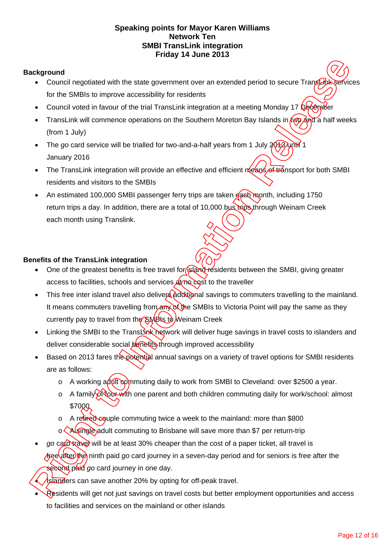# **Speaking points for Mayor Karen Williams Network Ten SMBI TransLink integration Friday 14 June 2013**

# **Background**

- Council negotiated with the state government over an extended period to secure TransLink services for the SMBIs to improve accessibility for residents
- Council voted in favour of the trial TransLink integration at a meeting Monday 17 December
- TransLink will commence operations on the Southern Moreton Bay Islands in  $\sqrt{wQ}$  and a half weeks (from 1 July)
- The *go* card service will be trialled for two-and-a-half years from 1 July 2013 until 1 January 2016
- The TransLink integration will provide an effective and efficient means of transport for both SMBI residents and visitors to the SMBIs
- An estimated 100,000 SMBI passenger ferry trips are taken  $\theta$ ash month, including 1750 return trips a day. In addition, there are a total of 10,000 bus trips through Weinam Creek each month using Translink.

# **Benefits of the TransLink integration**

- One of the greatest benefits is free travel for **island residents between the SMBI**, giving greater access to facilities, schools and services  $\frac{1}{4}$  me cost to the traveller
- This free inter island travel also delivers additional savings to commuters travelling to the mainland. It means commuters travelling from any of the SMBIs to Victoria Point will pay the same as they currently pay to travel from the SMBIs to Weinam Creek **Reference Counting Constrainers**<br> **Relation Counting Constrainers (Counting Constrainers (Counting Constrainers Counting Constrainers (Counting Constrainers Counting Constrainers (Counting Constrainers Counting Counting C** 
	- Linking the SMBI to the TransLink network will deliver huge savings in travel costs to islanders and deliver considerable social **benefits** through improved accessibility
	- Based on 2013 fares the potential annual savings on a variety of travel options for SMBI residents are as follows:
		- $\circ$  A working a dult commuting daily to work from SMBI to Cleveland: over \$2500 a year.
		- o A family of tour with one parent and both children commuting daily for work/school: almost \$7000
		- o A retired commuting twice a week to the mainland: more than \$800
		- o **A** single adult commuting to Brisbane will save more than \$7 per return-trip
	- *go* card travel will be at least 30% cheaper than the cost of a paper ticket, all travel is *fisee* after the ninth paid *go* card journey in a seven-day period and for seniors is free after the second paid *go* card journey in one day.

Islanders can save another 20% by opting for off-peak travel.

Residents will get not just savings on travel costs but better employment opportunities and access to facilities and services on the mainland or other islands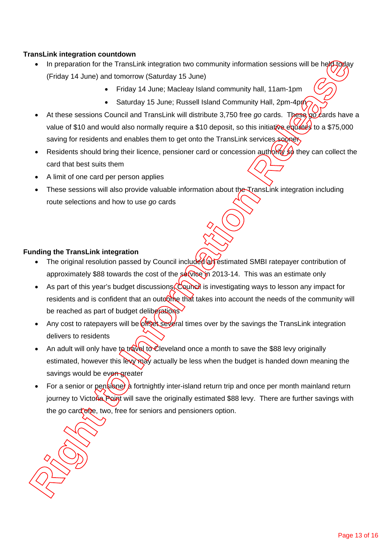# **TransLink integration countdown**

- In preparation for the TransLink integration two community information sessions will be held today (Friday 14 June) and tomorrow (Saturday 15 June)
	- Friday 14 June; Macleay Island community hall, 11am-1pm
	- Saturday 15 June; Russell Island Community Hall, 2pm-4pm
- At these sessions Council and TransLink will distribute 3,750 free *go* cards. These go cards have a value of \$10 and would also normally require a \$10 deposit, so this initiative equates to a \$75,000 saving for residents and enables them to get onto the TransLink services sooners
- Residents should bring their licence, pensioner card or concession authority so they can collect the card that best suits them
- A limit of one card per person applies
- These sessions will also provide valuable information about the TransLink integration including route selections and how to use *go* cards

# **Funding the TransLink integration**

- The original resolution passed by Council included an estimated SMBI ratepayer contribution of approximately \$88 towards the cost of the  $\frac{\text{seVose}}{n}$  2013-14. This was an estimate only
- As part of this year's budget discussions, Council is investigating ways to lesson any impact for residents and is confident that an outcome that takes into account the needs of the community will be reached as part of budget deliberations
- Any cost to ratepayers will be of the several times over by the savings the TransLink integration delivers to residents
- An adult will only have to travel to Cleveland once a month to save the \$88 levy originally estimated, however this levy may actually be less when the budget is handed down meaning the savings would be even greater
- For a senior or pensioner a fortnightly inter-island return trip and once per month mainland return journey to Victoria Point will save the originally estimated \$88 levy. There are further savings with the *go* card one, two, free for seniors and pensioners option. **Rights and for the Translank integration fivo community information sessions will be held<br>Top and tormurow (Statutes) is 6 using the Translation Continuity hall, 11am-1 pm<br>
<b>Rights 14** June Melasy Island community hall,

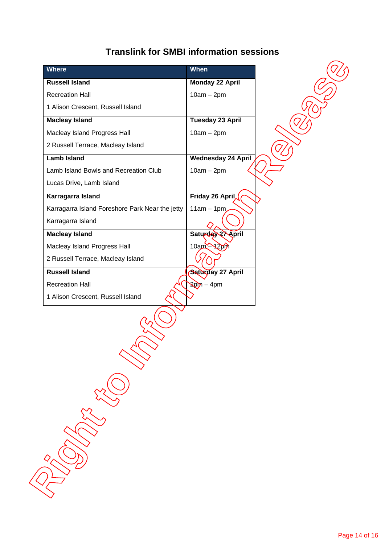# **Translink for SMBI information sessions**

| <b>Where</b>                                    | <b>When</b>               |  |
|-------------------------------------------------|---------------------------|--|
| <b>Russell Island</b>                           | <b>Monday 22 April</b>    |  |
| <b>Recreation Hall</b>                          | $10am - 2pm$              |  |
| 1 Alison Crescent, Russell Island               |                           |  |
| <b>Macleay Island</b>                           | <b>Tuesday 23 April</b>   |  |
| Macleay Island Progress Hall                    | $10am - 2pm$              |  |
| 2 Russell Terrace, Macleay Island               |                           |  |
| <b>Lamb Island</b>                              | <b>Wednesday 24 April</b> |  |
| Lamb Island Bowls and Recreation Club           | $10am - 2pm$              |  |
| Lucas Drive, Lamb Island                        |                           |  |
| Karragarra Island                               | <b>Friday 26 April</b>    |  |
| Karragarra Island Foreshore Park Near the jetty | $11am - 1pm$              |  |
| Karragarra Island                               |                           |  |
| <b>Macleay Island</b>                           | Saturday 27 April         |  |
| Macleay Island Progress Hall                    | 10am - 12pm               |  |
| 2 Russell Terrace, Macleay Island               |                           |  |
| <b>Russell Island</b>                           | <b>Saturday 27 April</b>  |  |
| <b>Recreation Hall</b>                          | $20m - 4pm$               |  |
| 1 Alison Crescent, Russell Island               |                           |  |
| <b>CONSTRUCTION</b>                             |                           |  |
|                                                 |                           |  |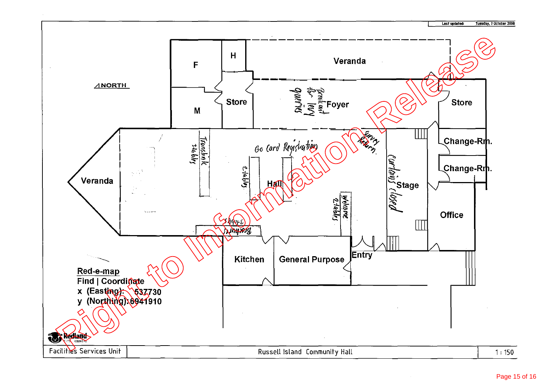